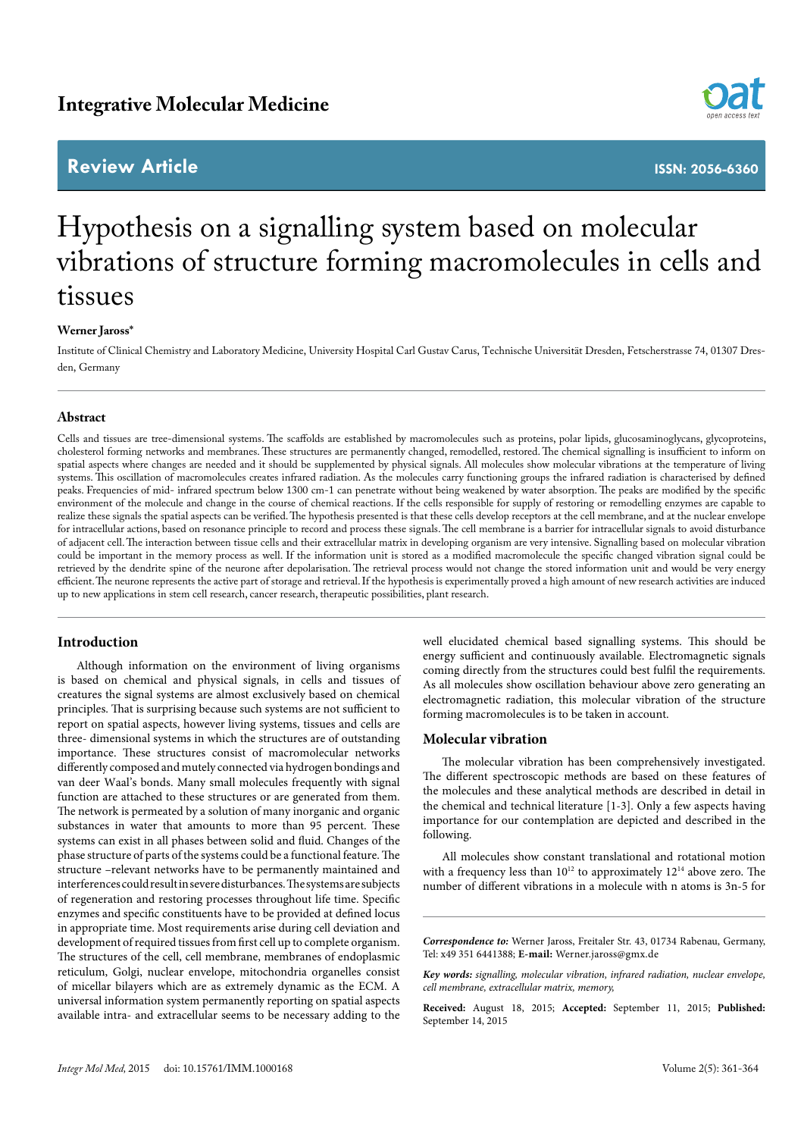## **Review Article**



**ISSN: 2056-6360**

# Hypothesis on a signalling system based on molecular vibrations of structure forming macromolecules in cells and tissues

## **Werner Jaross\***

Institute of Clinical Chemistry and Laboratory Medicine, University Hospital Carl Gustav Carus, Technische Universität Dresden, Fetscherstrasse 74, 01307 Dresden, Germany

#### **Abstract**

Cells and tissues are tree-dimensional systems. The scaffolds are established by macromolecules such as proteins, polar lipids, glucosaminoglycans, glycoproteins, cholesterol forming networks and membranes. These structures are permanently changed, remodelled, restored. The chemical signalling is insufficient to inform on spatial aspects where changes are needed and it should be supplemented by physical signals. All molecules show molecular vibrations at the temperature of living systems. This oscillation of macromolecules creates infrared radiation. As the molecules carry functioning groups the infrared radiation is characterised by defined peaks. Frequencies of mid- infrared spectrum below 1300 cm-1 can penetrate without being weakened by water absorption. The peaks are modified by the specific environment of the molecule and change in the course of chemical reactions. If the cells responsible for supply of restoring or remodelling enzymes are capable to realize these signals the spatial aspects can be verified. The hypothesis presented is that these cells develop receptors at the cell membrane, and at the nuclear envelope for intracellular actions, based on resonance principle to record and process these signals. The cell membrane is a barrier for intracellular signals to avoid disturbance of adjacent cell. The interaction between tissue cells and their extracellular matrix in developing organism are very intensive. Signalling based on molecular vibration could be important in the memory process as well. If the information unit is stored as a modified macromolecule the specific changed vibration signal could be retrieved by the dendrite spine of the neurone after depolarisation. The retrieval process would not change the stored information unit and would be very energy efficient. The neurone represents the active part of storage and retrieval. If the hypothesis is experimentally proved a high amount of new research activities are induced up to new applications in stem cell research, cancer research, therapeutic possibilities, plant research.

## **Introduction**

Although information on the environment of living organisms is based on chemical and physical signals, in cells and tissues of creatures the signal systems are almost exclusively based on chemical principles. That is surprising because such systems are not sufficient to report on spatial aspects, however living systems, tissues and cells are three- dimensional systems in which the structures are of outstanding importance. These structures consist of macromolecular networks differently composed and mutely connected via hydrogen bondings and van deer Waal's bonds. Many small molecules frequently with signal function are attached to these structures or are generated from them. The network is permeated by a solution of many inorganic and organic substances in water that amounts to more than 95 percent. These systems can exist in all phases between solid and fluid. Changes of the phase structure of parts of the systems could be a functional feature. The structure –relevant networks have to be permanently maintained and interferences could result in severe disturbances. The systems are subjects of regeneration and restoring processes throughout life time. Specific enzymes and specific constituents have to be provided at defined locus in appropriate time. Most requirements arise during cell deviation and development of required tissues from first cell up to complete organism. The structures of the cell, cell membrane, membranes of endoplasmic reticulum, Golgi, nuclear envelope, mitochondria organelles consist of micellar bilayers which are as extremely dynamic as the ECM. A universal information system permanently reporting on spatial aspects available intra- and extracellular seems to be necessary adding to the

well elucidated chemical based signalling systems. This should be energy sufficient and continuously available. Electromagnetic signals coming directly from the structures could best fulfil the requirements. As all molecules show oscillation behaviour above zero generating an electromagnetic radiation, this molecular vibration of the structure forming macromolecules is to be taken in account.

#### **Molecular vibration**

The molecular vibration has been comprehensively investigated. The different spectroscopic methods are based on these features of the molecules and these analytical methods are described in detail in the chemical and technical literature [1-3]. Only a few aspects having importance for our contemplation are depicted and described in the following.

All molecules show constant translational and rotational motion with a frequency less than  $10^{12}$  to approximately  $12^{14}$  above zero. The number of different vibrations in a molecule with n atoms is 3n-5 for

*Correspondence to:* Werner Jaross, Freitaler Str. 43, 01734 Rabenau, Germany, Tel: x49 351 6441388; **E-mail:** Werner.jaross@gmx.de

*Key words: signalling, molecular vibration, infrared radiation, nuclear envelope, cell membrane, extracellular matrix, memory,*

**Received:** August 18, 2015; **Accepted:** September 11, 2015; **Published:**  September 14, 2015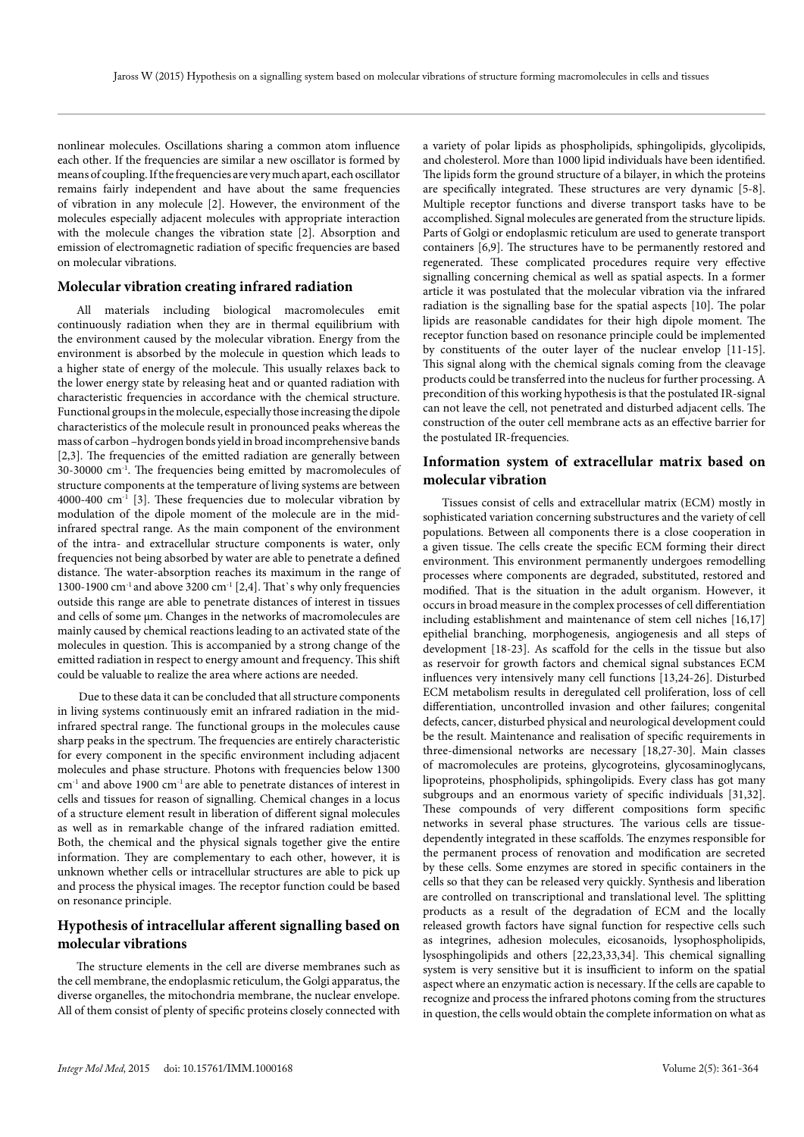nonlinear molecules. Oscillations sharing a common atom influence each other. If the frequencies are similar a new oscillator is formed by means of coupling. If the frequencies are very much apart, each oscillator remains fairly independent and have about the same frequencies of vibration in any molecule [2]. However, the environment of the molecules especially adjacent molecules with appropriate interaction with the molecule changes the vibration state [2]. Absorption and emission of electromagnetic radiation of specific frequencies are based on molecular vibrations.

#### **Molecular vibration creating infrared radiation**

All materials including biological macromolecules emit continuously radiation when they are in thermal equilibrium with the environment caused by the molecular vibration. Energy from the environment is absorbed by the molecule in question which leads to a higher state of energy of the molecule. This usually relaxes back to the lower energy state by releasing heat and or quanted radiation with characteristic frequencies in accordance with the chemical structure. Functional groups in the molecule, especially those increasing the dipole characteristics of the molecule result in pronounced peaks whereas the mass of carbon –hydrogen bonds yield in broad incomprehensive bands [2,3]. The frequencies of the emitted radiation are generally between 30-30000 cm-1. The frequencies being emitted by macromolecules of structure components at the temperature of living systems are between  $4000-400$  cm<sup>-1</sup> [3]. These frequencies due to molecular vibration by modulation of the dipole moment of the molecule are in the midinfrared spectral range. As the main component of the environment of the intra- and extracellular structure components is water, only frequencies not being absorbed by water are able to penetrate a defined distance. The water-absorption reaches its maximum in the range of 1300-1900  $cm^{-1}$  and above 3200  $cm^{-1}$  [2,4]. That`s why only frequencies outside this range are able to penetrate distances of interest in tissues and cells of some  $\mu$ m. Changes in the networks of macromolecules are mainly caused by chemical reactions leading to an activated state of the molecules in question. This is accompanied by a strong change of the emitted radiation in respect to energy amount and frequency. This shift could be valuable to realize the area where actions are needed.

 Due to these data it can be concluded that all structure components in living systems continuously emit an infrared radiation in the midinfrared spectral range. The functional groups in the molecules cause sharp peaks in the spectrum. The frequencies are entirely characteristic for every component in the specific environment including adjacent molecules and phase structure. Photons with frequencies below 1300 cm-1 and above 1900 cm-1 are able to penetrate distances of interest in cells and tissues for reason of signalling. Chemical changes in a locus of a structure element result in liberation of different signal molecules as well as in remarkable change of the infrared radiation emitted. Both, the chemical and the physical signals together give the entire information. They are complementary to each other, however, it is unknown whether cells or intracellular structures are able to pick up and process the physical images. The receptor function could be based on resonance principle.

## **Hypothesis of intracellular afferent signalling based on molecular vibrations**

The structure elements in the cell are diverse membranes such as the cell membrane, the endoplasmic reticulum, the Golgi apparatus, the diverse organelles, the mitochondria membrane, the nuclear envelope. All of them consist of plenty of specific proteins closely connected with

a variety of polar lipids as phospholipids, sphingolipids, glycolipids, and cholesterol. More than 1000 lipid individuals have been identified. The lipids form the ground structure of a bilayer, in which the proteins are specifically integrated. These structures are very dynamic [5-8]. Multiple receptor functions and diverse transport tasks have to be accomplished. Signal molecules are generated from the structure lipids. Parts of Golgi or endoplasmic reticulum are used to generate transport containers [6,9]. The structures have to be permanently restored and regenerated. These complicated procedures require very effective signalling concerning chemical as well as spatial aspects. In a former article it was postulated that the molecular vibration via the infrared radiation is the signalling base for the spatial aspects [10]. The polar lipids are reasonable candidates for their high dipole moment. The receptor function based on resonance principle could be implemented by constituents of the outer layer of the nuclear envelop [11-15]. This signal along with the chemical signals coming from the cleavage products could be transferred into the nucleus for further processing. A precondition of this working hypothesis is that the postulated IR-signal can not leave the cell, not penetrated and disturbed adjacent cells. The construction of the outer cell membrane acts as an effective barrier for the postulated IR-frequencies.

## **Information system of extracellular matrix based on molecular vibration**

Tissues consist of cells and extracellular matrix (ECM) mostly in sophisticated variation concerning substructures and the variety of cell populations. Between all components there is a close cooperation in a given tissue. The cells create the specific ECM forming their direct environment. This environment permanently undergoes remodelling processes where components are degraded, substituted, restored and modified. That is the situation in the adult organism. However, it occurs in broad measure in the complex processes of cell differentiation including establishment and maintenance of stem cell niches [16,17] epithelial branching, morphogenesis, angiogenesis and all steps of development [18-23]. As scaffold for the cells in the tissue but also as reservoir for growth factors and chemical signal substances ECM influences very intensively many cell functions [13,24-26]. Disturbed ECM metabolism results in deregulated cell proliferation, loss of cell differentiation, uncontrolled invasion and other failures; congenital defects, cancer, disturbed physical and neurological development could be the result. Maintenance and realisation of specific requirements in three-dimensional networks are necessary [18,27-30]. Main classes of macromolecules are proteins, glycogroteins, glycosaminoglycans, lipoproteins, phospholipids, sphingolipids. Every class has got many subgroups and an enormous variety of specific individuals [31,32]. These compounds of very different compositions form specific networks in several phase structures. The various cells are tissuedependently integrated in these scaffolds. The enzymes responsible for the permanent process of renovation and modification are secreted by these cells. Some enzymes are stored in specific containers in the cells so that they can be released very quickly. Synthesis and liberation are controlled on transcriptional and translational level. The splitting products as a result of the degradation of ECM and the locally released growth factors have signal function for respective cells such as integrines, adhesion molecules, eicosanoids, lysophospholipids, lysosphingolipids and others [22,23,33,34]. This chemical signalling system is very sensitive but it is insufficient to inform on the spatial aspect where an enzymatic action is necessary. If the cells are capable to recognize and process the infrared photons coming from the structures in question, the cells would obtain the complete information on what as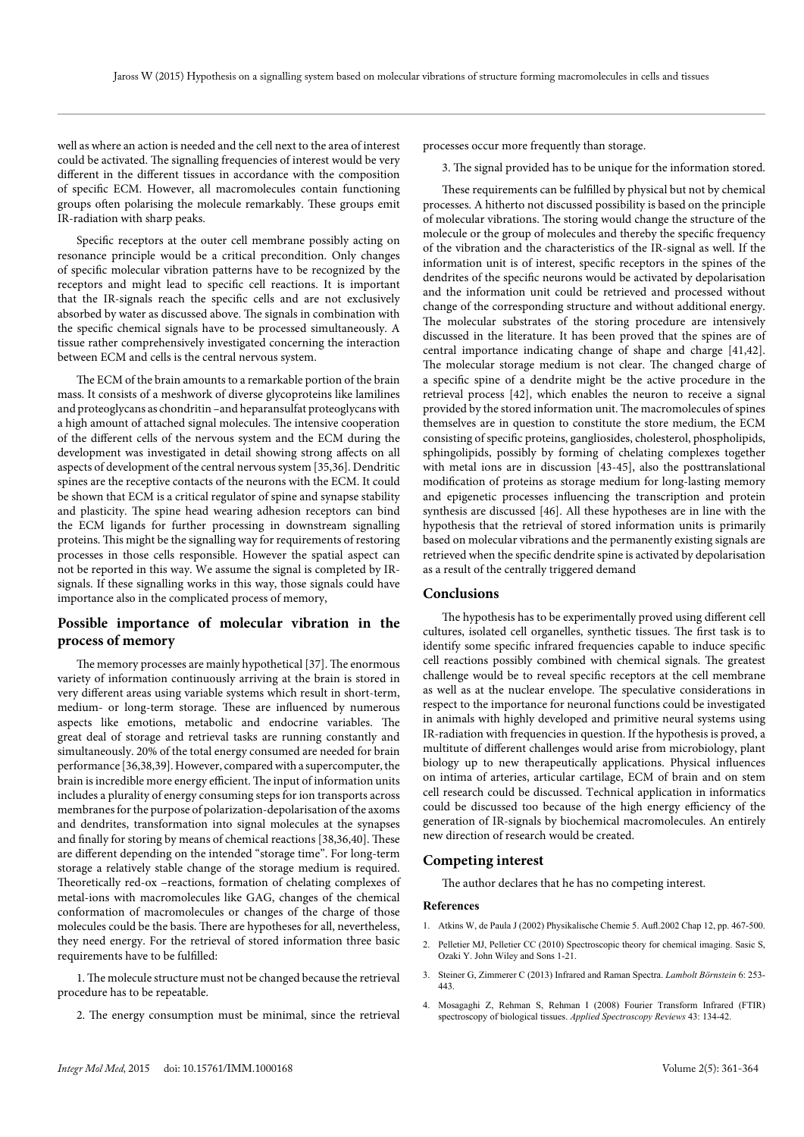well as where an action is needed and the cell next to the area of interest could be activated. The signalling frequencies of interest would be very different in the different tissues in accordance with the composition of specific ECM. However, all macromolecules contain functioning groups often polarising the molecule remarkably. These groups emit IR-radiation with sharp peaks.

Specific receptors at the outer cell membrane possibly acting on resonance principle would be a critical precondition. Only changes of specific molecular vibration patterns have to be recognized by the receptors and might lead to specific cell reactions. It is important that the IR-signals reach the specific cells and are not exclusively absorbed by water as discussed above. The signals in combination with the specific chemical signals have to be processed simultaneously. A tissue rather comprehensively investigated concerning the interaction between ECM and cells is the central nervous system.

The ECM of the brain amounts to a remarkable portion of the brain mass. It consists of a meshwork of diverse glycoproteins like lamilines and proteoglycans as chondritin –and heparansulfat proteoglycans with a high amount of attached signal molecules. The intensive cooperation of the different cells of the nervous system and the ECM during the development was investigated in detail showing strong affects on all aspects of development of the central nervous system [35,36]. Dendritic spines are the receptive contacts of the neurons with the ECM. It could be shown that ECM is a critical regulator of spine and synapse stability and plasticity. The spine head wearing adhesion receptors can bind the ECM ligands for further processing in downstream signalling proteins. This might be the signalling way for requirements of restoring processes in those cells responsible. However the spatial aspect can not be reported in this way. We assume the signal is completed by IRsignals. If these signalling works in this way, those signals could have importance also in the complicated process of memory,

### **Possible importance of molecular vibration in the process of memory**

The memory processes are mainly hypothetical [37]. The enormous variety of information continuously arriving at the brain is stored in very different areas using variable systems which result in short-term, medium- or long-term storage. These are influenced by numerous aspects like emotions, metabolic and endocrine variables. The great deal of storage and retrieval tasks are running constantly and simultaneously. 20% of the total energy consumed are needed for brain performance [36,38,39]. However, compared with a supercomputer, the brain is incredible more energy efficient. The input of information units includes a plurality of energy consuming steps for ion transports across membranes for the purpose of polarization-depolarisation of the axoms and dendrites, transformation into signal molecules at the synapses and finally for storing by means of chemical reactions [38,36,40]. These are different depending on the intended "storage time". For long-term storage a relatively stable change of the storage medium is required. Theoretically red-ox –reactions, formation of chelating complexes of metal-ions with macromolecules like GAG, changes of the chemical conformation of macromolecules or changes of the charge of those molecules could be the basis. There are hypotheses for all, nevertheless, they need energy. For the retrieval of stored information three basic requirements have to be fulfilled:

1. The molecule structure must not be changed because the retrieval procedure has to be repeatable.

2. The energy consumption must be minimal, since the retrieval

processes occur more frequently than storage.

3. The signal provided has to be unique for the information stored.

These requirements can be fulfilled by physical but not by chemical processes. A hitherto not discussed possibility is based on the principle of molecular vibrations. The storing would change the structure of the molecule or the group of molecules and thereby the specific frequency of the vibration and the characteristics of the IR-signal as well. If the information unit is of interest, specific receptors in the spines of the dendrites of the specific neurons would be activated by depolarisation and the information unit could be retrieved and processed without change of the corresponding structure and without additional energy. The molecular substrates of the storing procedure are intensively discussed in the literature. It has been proved that the spines are of central importance indicating change of shape and charge [41,42]. The molecular storage medium is not clear. The changed charge of a specific spine of a dendrite might be the active procedure in the retrieval process [42], which enables the neuron to receive a signal provided by the stored information unit. The macromolecules of spines themselves are in question to constitute the store medium, the ECM consisting of specific proteins, gangliosides, cholesterol, phospholipids, sphingolipids, possibly by forming of chelating complexes together with metal ions are in discussion [43-45], also the posttranslational modification of proteins as storage medium for long-lasting memory and epigenetic processes influencing the transcription and protein synthesis are discussed [46]. All these hypotheses are in line with the hypothesis that the retrieval of stored information units is primarily based on molecular vibrations and the permanently existing signals are retrieved when the specific dendrite spine is activated by depolarisation as a result of the centrally triggered demand

#### **Conclusions**

The hypothesis has to be experimentally proved using different cell cultures, isolated cell organelles, synthetic tissues. The first task is to identify some specific infrared frequencies capable to induce specific cell reactions possibly combined with chemical signals. The greatest challenge would be to reveal specific receptors at the cell membrane as well as at the nuclear envelope. The speculative considerations in respect to the importance for neuronal functions could be investigated in animals with highly developed and primitive neural systems using IR-radiation with frequencies in question. If the hypothesis is proved, a multitute of different challenges would arise from microbiology, plant biology up to new therapeutically applications. Physical influences on intima of arteries, articular cartilage, ECM of brain and on stem cell research could be discussed. Technical application in informatics could be discussed too because of the high energy efficiency of the generation of IR-signals by biochemical macromolecules. An entirely new direction of research would be created.

#### **Competing interest**

The author declares that he has no competing interest.

#### **References**

- 1. Atkins W, de Paula J (2002) Physikalische Chemie 5. Aufl.2002 Chap 12, pp. 467-500.
- Pelletier MJ, Pelletier CC (2010) Spectroscopic theory for chemical imaging. Sasic S, Ozaki Y. John Wiley and Sons 1-21.
- 3. Steiner G, Zimmerer C (2013) Infrared and Raman Spectra. *Lambolt Börnstein* 6: 253- 443.
- 4. Mosagaghi Z, Rehman S, Rehman I (2008) Fourier Transform Infrared (FTIR) spectroscopy of biological tissues. *Applied Spectroscopy Reviews* 43: 134-42.